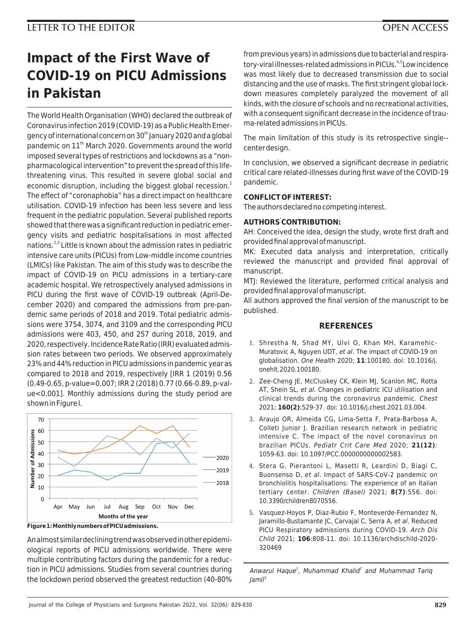## **LETTER TO THE EDITOR OPEN ACCESS**

# **Impact of the First Wave of COVID-19 on PICU Admissions in Pakistan**

The World Health Organisation (WHO) declared the outbreak of Coronavirus infection 2019 (COVID-19) as a Public Health Emergency of international concern on 30<sup>th</sup> January 2020 and a global pandemic on 11<sup>th</sup> March 2020. Governments around the world imposed several types of restrictions and lockdowns as a "nonpharmacological intervention" to prevent the spread of this lifethreatening virus. This resulted in severe global social and economic disruption, including the biggest global recession.<sup>1</sup> The effect of "coronaphobia" has a direct impact on healthcare utilisation. COVID-19 infection has been less severe and less frequent in the pediatric population. Several published reports showed that there was a significant reduction in pediatric emergency visits and pediatric hospitalisations in most affected nations.<sup>2,3</sup> Little is known about the admission rates in pediatric intensive care units (PICUs) from Low-middle income countries (LMICs) like Pakistan. The aim of this study was to describe the impact of COVID-19 on PICU admissions in a tertiary-care academic hospital. We retrospectively analysed admissions in PICU during the first wave of COVID-19 outbreak (April-December 2020) and compared the admissions from pre-pandemic same periods of 2018 and 2019. Total pediatric admissions were 3754, 3074, and 3109 and the corresponding PICU admissions were 403, 450, and 257 during 2018, 2019, and 2020, respectively. Incidence Rate Ratio (IRR) evaluated admission rates between two periods. We observed approximately 23% and 44% reduction in PICU admissions in pandemic year as compared to 2018 and 2019, respectively [IRR 1 (2019) 0.56 (0.49-0.65, p-value=0.007; IRR 2 (2018) 0.77 (0.66-0.89, p-value<0.001]. Monthly admissions during the study period are shown in Figure I.



**Figure 1: Monthly numbers of PICU admissions.**

An almost similar declining trend was observed in other epidemiological reports of PICU admissions worldwide. There were multiple contributing factors during the pandemic for a reduction in PICU admissions. Studies from several countries during the lockdown period observed the greatest reduction (40-80%

from previous years) in admissions due to bacterial and respiratory-viral illnesses-related admissions in PICUs.<sup>4,5</sup> Low incidence was most likely due to decreased transmission due to social distancing and the use of masks. The first stringent global lockdown measures completely paralyzed the movement of all kinds, with the closure of schools and no recreational activities, with a consequent significant decrease in the incidence of trauma-related admissions in PICUs.

The main limitation of this study is its retrospective single- center design.

In conclusion, we observed a significant decrease in pediatric critical care related-illnesses during first wave of the COVID-19 pandemic.

#### **CONFLICT OF INTEREST:**

The authors declared no competing interest.

### **AUTHORS' CONTRIBUTION:**

AH: Conceived the idea, design the study, wrote first draft and provided final approval of manuscript.

MK: Executed data analysis and interpretation, critically reviewed the manuscript and provided final approval of manuscript.

MTJ: Reviewed the literature, performed critical analysis and provided final approval of manuscript.

All authors approved the final version of the manuscript to be published.

#### **REFERENCES**

- 1. Shrestha N, Shad MY, Ulvi O, Khan MH, Karamehic-Muratovic A, Nguyen UDT, et al. The impact of COVID-19 on globalisation. One Health 2020; **11**:100180. doi: 10.1016/j. onehlt.2020.100180.
- 2. Zee-Cheng JE, McCluskey CK, Klein MJ, Scanlon MC, Rotta AT, Shein SL, et al. Changes in pediatric ICU utilisation and clinical trends during the coronavirus pandemic. Chest 2021; **160(2)**:529-37. doi: 10.1016/j.chest.2021.03.004.
- 3. Araujo OR, Almeida CG, Lima-Setta F, Prata-Barbosa A, Colleti Junior J. Brazilian research network in pediatric intensive C. The impact of the novel coronavirus on brazilian PICUs. Pediatr Crit Care Med 2020; **21(12)**: 1059-63. doi: 10.1097/PCC.0000000000002583.
- 4. Stera G, Pierantoni L, Masetti R, Leardini D, Biagi C, Buonsenso D, et al. Impact of SARS-CoV-2 pandemic on bronchiolitis hospitalisations: The experience of an Italian tertiary center. Children (Basel) 2021; **8(7)**:556. doi: 10.3390/children8070556.
- 5. Vasquez-Hoyos P, Diaz-Rubio F, Monteverde-Fernandez N, Jaramillo-Bustamante JC, Carvajal C, Serra A, et al. Reduced PICU Respiratory admissions during COVID-19. Arch Dis Child 2021; **106**:808-11. doi: 10.1136/archdischild-2020- 320469

Anwarul Haque<sup>1</sup>, Muhammad Khalid<sup>2</sup> and Muhammad Tariq  $Iami<sup>3</sup>$